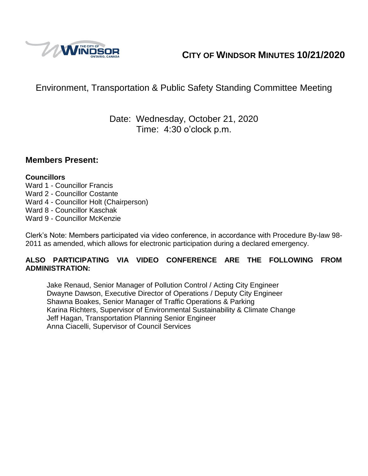

# **CITY OF WINDSOR MINUTES 10/21/2020**

# Environment, Transportation & Public Safety Standing Committee Meeting

# Date: Wednesday, October 21, 2020 Time: 4:30 o'clock p.m.

#### **Members Present:**

#### **Councillors**

- Ward 1 Councillor Francis
- Ward 2 Councillor Costante
- Ward 4 Councillor Holt (Chairperson)
- Ward 8 Councillor Kaschak
- Ward 9 Councillor McKenzie

Clerk's Note: Members participated via video conference, in accordance with Procedure By-law 98- 2011 as amended, which allows for electronic participation during a declared emergency.

#### **ALSO PARTICIPATING VIA VIDEO CONFERENCE ARE THE FOLLOWING FROM ADMINISTRATION:**

Jake Renaud, Senior Manager of Pollution Control / Acting City Engineer Dwayne Dawson, Executive Director of Operations / Deputy City Engineer Shawna Boakes, Senior Manager of Traffic Operations & Parking Karina Richters, Supervisor of Environmental Sustainability & Climate Change Jeff Hagan, Transportation Planning Senior Engineer Anna Ciacelli, Supervisor of Council Services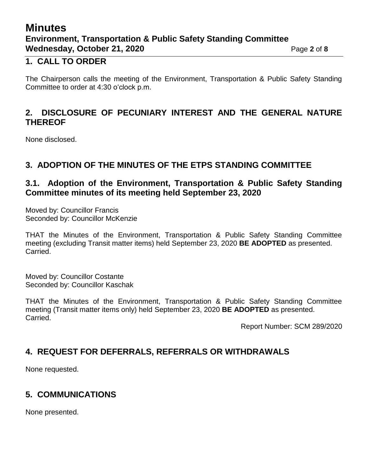# **Minutes Environment, Transportation & Public Safety Standing Committee Wednesday, October 21, 2020** Page 2 of 8

#### **1. CALL TO ORDER**

The Chairperson calls the meeting of the Environment, Transportation & Public Safety Standing Committee to order at 4:30 o'clock p.m.

### **2. DISCLOSURE OF PECUNIARY INTEREST AND THE GENERAL NATURE THEREOF**

None disclosed.

## **3. ADOPTION OF THE MINUTES OF THE ETPS STANDING COMMITTEE**

### **3.1. Adoption of the Environment, Transportation & Public Safety Standing Committee minutes of its meeting held September 23, 2020**

Moved by: Councillor Francis Seconded by: Councillor McKenzie

THAT the Minutes of the Environment, Transportation & Public Safety Standing Committee meeting (excluding Transit matter items) held September 23, 2020 **BE ADOPTED** as presented. Carried.

Moved by: Councillor Costante Seconded by: Councillor Kaschak

THAT the Minutes of the Environment, Transportation & Public Safety Standing Committee meeting (Transit matter items only) held September 23, 2020 **BE ADOPTED** as presented. Carried.

Report Number: SCM 289/2020

# **4. REQUEST FOR DEFERRALS, REFERRALS OR WITHDRAWALS**

None requested.

# **5. COMMUNICATIONS**

None presented.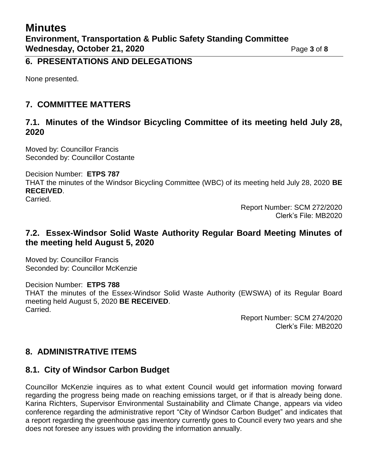#### **6. PRESENTATIONS AND DELEGATIONS**

None presented.

## **7. COMMITTEE MATTERS**

#### **7.1. Minutes of the Windsor Bicycling Committee of its meeting held July 28, 2020**

Moved by: Councillor Francis Seconded by: Councillor Costante

#### Decision Number: **ETPS 787**

THAT the minutes of the Windsor Bicycling Committee (WBC) of its meeting held July 28, 2020 **BE RECEIVED**.

Carried.

Report Number: SCM 272/2020 Clerk's File: MB2020

### **7.2. Essex-Windsor Solid Waste Authority Regular Board Meeting Minutes of the meeting held August 5, 2020**

Moved by: Councillor Francis Seconded by: Councillor McKenzie

Decision Number: **ETPS 788**

THAT the minutes of the Essex-Windsor Solid Waste Authority (EWSWA) of its Regular Board meeting held August 5, 2020 **BE RECEIVED**. Carried.

> Report Number: SCM 274/2020 Clerk's File: MB2020

# **8. ADMINISTRATIVE ITEMS**

### **8.1. City of Windsor Carbon Budget**

Councillor McKenzie inquires as to what extent Council would get information moving forward regarding the progress being made on reaching emissions target, or if that is already being done. Karina Richters, Supervisor Environmental Sustainability and Climate Change, appears via video conference regarding the administrative report "City of Windsor Carbon Budget" and indicates that a report regarding the greenhouse gas inventory currently goes to Council every two years and she does not foresee any issues with providing the information annually.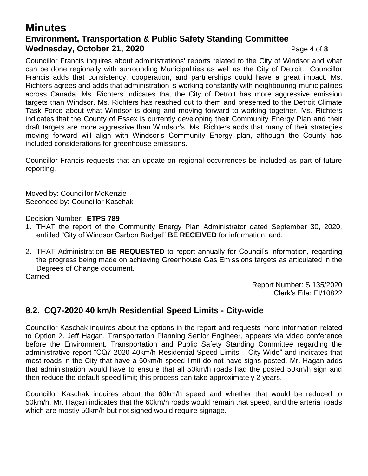# **Minutes Environment, Transportation & Public Safety Standing Committee Wednesday, October 21, 2020** Page 4 of 8

Councillor Francis inquires about administrations' reports related to the City of Windsor and what can be done regionally with surrounding Municipalities as well as the City of Detroit. Councillor Francis adds that consistency, cooperation, and partnerships could have a great impact. Ms. Richters agrees and adds that administration is working constantly with neighbouring municipalities across Canada. Ms. Richters indicates that the City of Detroit has more aggressive emission targets than Windsor. Ms. Richters has reached out to them and presented to the Detroit Climate Task Force about what Windsor is doing and moving forward to working together. Ms. Richters indicates that the County of Essex is currently developing their Community Energy Plan and their draft targets are more aggressive than Windsor's. Ms. Richters adds that many of their strategies moving forward will align with Windsor's Community Energy plan, although the County has included considerations for greenhouse emissions.

Councillor Francis requests that an update on regional occurrences be included as part of future reporting.

Moved by: Councillor McKenzie Seconded by: Councillor Kaschak

Decision Number: **ETPS 789**

- 1. THAT the report of the Community Energy Plan Administrator dated September 30, 2020, entitled "City of Windsor Carbon Budget" **BE RECEIVED** for information; and,
- 2. THAT Administration **BE REQUESTED** to report annually for Council's information, regarding the progress being made on achieving Greenhouse Gas Emissions targets as articulated in the Degrees of Change document.

Carried.

Report Number: S 135/2020 Clerk's File: EI/10822

# **8.2. CQ7-2020 40 km/h Residential Speed Limits - City-wide**

Councillor Kaschak inquires about the options in the report and requests more information related to Option 2. Jeff Hagan, Transportation Planning Senior Engineer, appears via video conference before the Environment, Transportation and Public Safety Standing Committee regarding the administrative report "CQ7-2020 40km/h Residential Speed Limits – City Wide" and indicates that most roads in the City that have a 50km/h speed limit do not have signs posted. Mr. Hagan adds that administration would have to ensure that all 50km/h roads had the posted 50km/h sign and then reduce the default speed limit; this process can take approximately 2 years.

Councillor Kaschak inquires about the 60km/h speed and whether that would be reduced to 50km/h. Mr. Hagan indicates that the 60km/h roads would remain that speed, and the arterial roads which are mostly 50km/h but not signed would require signage.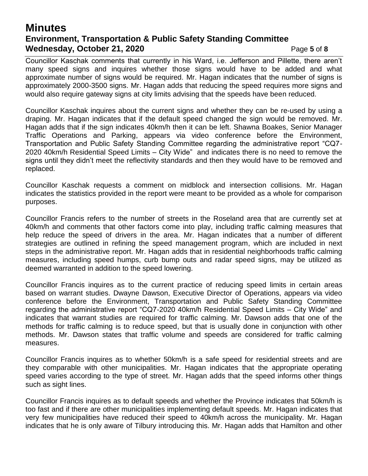# **Minutes Environment, Transportation & Public Safety Standing Committee Wednesday, October 21, 2020** Page 5 of 8

Councillor Kaschak comments that currently in his Ward, i.e. Jefferson and Pillette, there aren't many speed signs and inquires whether those signs would have to be added and what approximate number of signs would be required. Mr. Hagan indicates that the number of signs is approximately 2000-3500 signs. Mr. Hagan adds that reducing the speed requires more signs and would also require gateway signs at city limits advising that the speeds have been reduced.

Councillor Kaschak inquires about the current signs and whether they can be re-used by using a draping. Mr. Hagan indicates that if the default speed changed the sign would be removed. Mr. Hagan adds that if the sign indicates 40km/h then it can be left. Shawna Boakes, Senior Manager Traffic Operations and Parking, appears via video conference before the Environment, Transportation and Public Safety Standing Committee regarding the administrative report "CQ7- 2020 40km/h Residential Speed Limits – City Wide" and indicates there is no need to remove the signs until they didn't meet the reflectivity standards and then they would have to be removed and replaced.

Councillor Kaschak requests a comment on midblock and intersection collisions. Mr. Hagan indicates the statistics provided in the report were meant to be provided as a whole for comparison purposes.

Councillor Francis refers to the number of streets in the Roseland area that are currently set at 40km/h and comments that other factors come into play, including traffic calming measures that help reduce the speed of drivers in the area. Mr. Hagan indicates that a number of different strategies are outlined in refining the speed management program, which are included in next steps in the administrative report. Mr. Hagan adds that in residential neighborhoods traffic calming measures, including speed humps, curb bump outs and radar speed signs, may be utilized as deemed warranted in addition to the speed lowering.

Councillor Francis inquires as to the current practice of reducing speed limits in certain areas based on warrant studies. Dwayne Dawson, Executive Director of Operations, appears via video conference before the Environment, Transportation and Public Safety Standing Committee regarding the administrative report "CQ7-2020 40km/h Residential Speed Limits – City Wide" and indicates that warrant studies are required for traffic calming. Mr. Dawson adds that one of the methods for traffic calming is to reduce speed, but that is usually done in conjunction with other methods. Mr. Dawson states that traffic volume and speeds are considered for traffic calming measures.

Councillor Francis inquires as to whether 50km/h is a safe speed for residential streets and are they comparable with other municipalities. Mr. Hagan indicates that the appropriate operating speed varies according to the type of street. Mr. Hagan adds that the speed informs other things such as sight lines.

Councillor Francis inquires as to default speeds and whether the Province indicates that 50km/h is too fast and if there are other municipalities implementing default speeds. Mr. Hagan indicates that very few municipalities have reduced their speed to 40km/h across the municipality. Mr. Hagan indicates that he is only aware of Tilbury introducing this. Mr. Hagan adds that Hamilton and other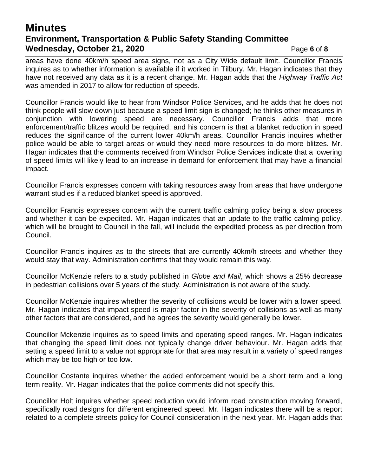# **Minutes Environment, Transportation & Public Safety Standing Committee Wednesday, October 21, 2020** Page 6 of 8

areas have done 40km/h speed area signs, not as a City Wide default limit. Councillor Francis inquires as to whether information is available if it worked in Tilbury. Mr. Hagan indicates that they have not received any data as it is a recent change. Mr. Hagan adds that the *Highway Traffic Act* was amended in 2017 to allow for reduction of speeds.

Councillor Francis would like to hear from Windsor Police Services, and he adds that he does not think people will slow down just because a speed limit sign is changed; he thinks other measures in conjunction with lowering speed are necessary. Councillor Francis adds that more enforcement/traffic blitzes would be required, and his concern is that a blanket reduction in speed reduces the significance of the current lower 40km/h areas. Councillor Francis inquires whether police would be able to target areas or would they need more resources to do more blitzes. Mr. Hagan indicates that the comments received from Windsor Police Services indicate that a lowering of speed limits will likely lead to an increase in demand for enforcement that may have a financial impact.

Councillor Francis expresses concern with taking resources away from areas that have undergone warrant studies if a reduced blanket speed is approved.

Councillor Francis expresses concern with the current traffic calming policy being a slow process and whether it can be expedited. Mr. Hagan indicates that an update to the traffic calming policy, which will be brought to Council in the fall, will include the expedited process as per direction from Council.

Councillor Francis inquires as to the streets that are currently 40km/h streets and whether they would stay that way. Administration confirms that they would remain this way.

Councillor McKenzie refers to a study published in *Globe and Mail*, which shows a 25% decrease in pedestrian collisions over 5 years of the study. Administration is not aware of the study.

Councillor McKenzie inquires whether the severity of collisions would be lower with a lower speed. Mr. Hagan indicates that impact speed is major factor in the severity of collisions as well as many other factors that are considered, and he agrees the severity would generally be lower.

Councillor Mckenzie inquires as to speed limits and operating speed ranges. Mr. Hagan indicates that changing the speed limit does not typically change driver behaviour. Mr. Hagan adds that setting a speed limit to a value not appropriate for that area may result in a variety of speed ranges which may be too high or too low.

Councillor Costante inquires whether the added enforcement would be a short term and a long term reality. Mr. Hagan indicates that the police comments did not specify this.

Councillor Holt inquires whether speed reduction would inform road construction moving forward, specifically road designs for different engineered speed. Mr. Hagan indicates there will be a report related to a complete streets policy for Council consideration in the next year. Mr. Hagan adds that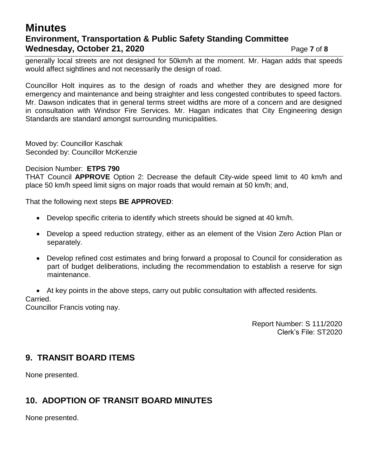# **Minutes Environment, Transportation & Public Safety Standing Committee Wednesday, October 21, 2020** Page 7 of 8

generally local streets are not designed for 50km/h at the moment. Mr. Hagan adds that speeds would affect sightlines and not necessarily the design of road.

Councillor Holt inquires as to the design of roads and whether they are designed more for emergency and maintenance and being straighter and less congested contributes to speed factors. Mr. Dawson indicates that in general terms street widths are more of a concern and are designed in consultation with Windsor Fire Services. Mr. Hagan indicates that City Engineering design Standards are standard amongst surrounding municipalities.

Moved by: Councillor Kaschak Seconded by: Councillor McKenzie

#### Decision Number: **ETPS 790**

THAT Council **APPROVE** Option 2: Decrease the default City-wide speed limit to 40 km/h and place 50 km/h speed limit signs on major roads that would remain at 50 km/h; and,

That the following next steps **BE APPROVED**:

- Develop specific criteria to identify which streets should be signed at 40 km/h.
- Develop a speed reduction strategy, either as an element of the Vision Zero Action Plan or separately.
- Develop refined cost estimates and bring forward a proposal to Council for consideration as part of budget deliberations, including the recommendation to establish a reserve for sign maintenance.
- At key points in the above steps, carry out public consultation with affected residents.

#### Carried.

Councillor Francis voting nay.

Report Number: S 111/2020 Clerk's File: ST2020

### **9. TRANSIT BOARD ITEMS**

None presented.

# **10. ADOPTION OF TRANSIT BOARD MINUTES**

None presented.